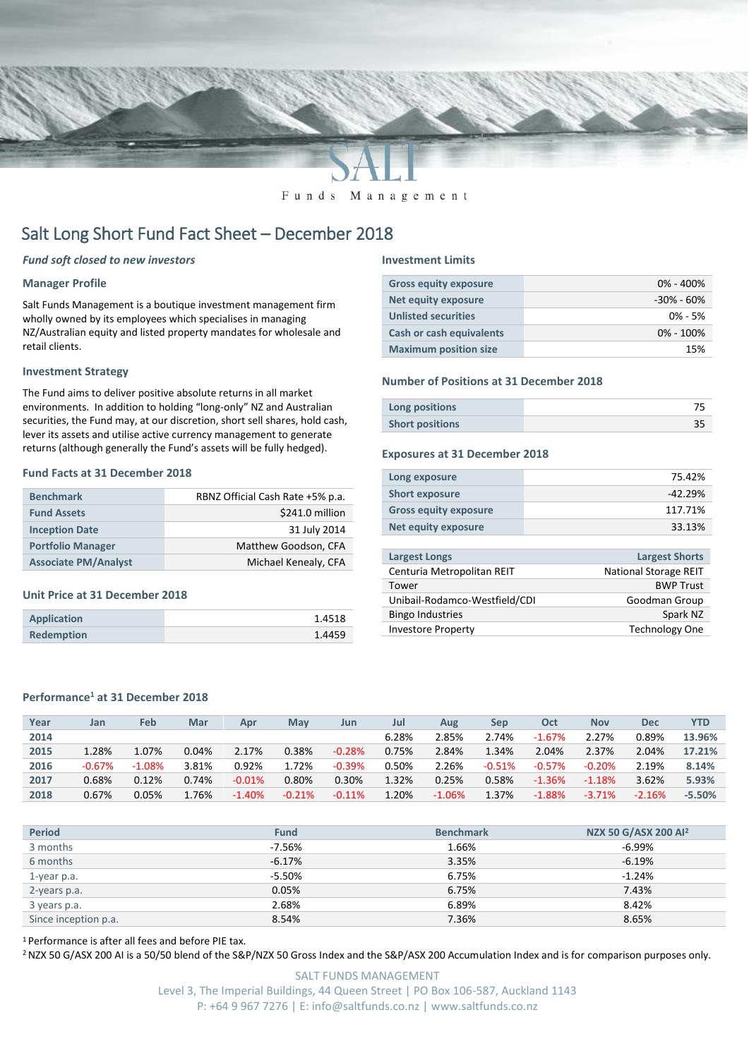

Funds Management

# Salt Long Short Fund Fact Sheet – December 2018

## *Fund soft closed to new investors*

## **Manager Profile**

Salt Funds Management is a boutique investment management firm wholly owned by its employees which specialises in managing NZ/Australian equity and listed property mandates for wholesale and retail clients.

## **Investment Strategy**

The Fund aims to deliver positive absolute returns in all market environments. In addition to holding "long-only" NZ and Australian securities, the Fund may, at our discretion, short sell shares, hold cash, lever its assets and utilise active currency management to generate returns (although generally the Fund's assets will be fully hedged).

## **Fund Facts at 31 December 2018**

| <b>Benchmark</b>            | RBNZ Official Cash Rate +5% p.a. |
|-----------------------------|----------------------------------|
| <b>Fund Assets</b>          | \$241.0 million                  |
| <b>Inception Date</b>       | 31 July 2014                     |
| <b>Portfolio Manager</b>    | Matthew Goodson, CFA             |
| <b>Associate PM/Analyst</b> | Michael Kenealy, CFA             |

### **Unit Price at 31 December 2018**

| <b>Application</b> | 1.4518 |
|--------------------|--------|
| <b>Redemption</b>  | 1.4459 |

#### **Investment Limits**

| <b>Gross equity exposure</b>    | $0\% - 400\%$  |
|---------------------------------|----------------|
| Net equity exposure             | $-30\% - 60\%$ |
| <b>Unlisted securities</b>      | $0\% - 5\%$    |
| <b>Cash or cash equivalents</b> | $0\% - 100\%$  |
| <b>Maximum position size</b>    | 15%            |

## **Number of Positions at 31 December 2018**

| Long positions         |  |
|------------------------|--|
| <b>Short positions</b> |  |

#### **Exposures at 31 December 2018**

| Long exposure                | 75.42%    |
|------------------------------|-----------|
| <b>Short exposure</b>        | $-42.29%$ |
| <b>Gross equity exposure</b> | 117.71%   |
| Net equity exposure          | 33.13%    |
|                              |           |

| <b>Largest Longs</b>          | <b>Largest Shorts</b>        |
|-------------------------------|------------------------------|
| Centuria Metropolitan REIT    | <b>National Storage REIT</b> |
| Tower                         | <b>BWP Trust</b>             |
| Unibail-Rodamco-Westfield/CDI | Goodman Group                |
| <b>Bingo Industries</b>       | Spark NZ                     |
| <b>Investore Property</b>     | <b>Technology One</b>        |

## **Performance<sup>1</sup> at 31 December 2018**

| Year | Jan       | Feb      | Mar      | Apr       | May      | Jun      | Jul   | Aug       | Sep      | Oct       | <b>Nov</b> | <b>Dec</b> | YTD       |
|------|-----------|----------|----------|-----------|----------|----------|-------|-----------|----------|-----------|------------|------------|-----------|
| 2014 |           |          |          |           |          |          | 6.28% | 2.85%     | 2.74%    | $-1.67%$  | 2.27%      | 0.89%      | 13.96%    |
| 2015 | 1.28%     | 1.07%    | 0.04%    | 2.17%     | 0.38%    | $-0.28%$ | 0.75% | 2.84%     | 1.34%    | 2.04%     | 2.37%      | 2.04%      | 17.21%    |
| 2016 | $-0.67\%$ | $-1.08%$ | 3.81%    | 0.92%     | 1.72%    | $-0.39%$ | 0.50% | 2.26%     | $-0.51%$ | $-0.57%$  | $-0.20%$   | 2.19%      | 8.14%     |
| 2017 | 0.68%     | 0.12%    | 0.74%    | $-0.01%$  | 0.80%    | 0.30%    | 1.32% | 0.25%     | 0.58%    | $-1.36%$  | $-1.18%$   | 3.62%      | 5.93%     |
| 2018 | 0.67%     | 0.05%    | $1.76\%$ | $-1.40\%$ | $-0.21%$ | $-0.11%$ | 1.20% | $-1.06\%$ | 1.37%    | $-1.88\%$ | $-3.71%$   | $-2.16%$   | $-5.50\%$ |

| <b>Period</b>        | <b>Fund</b> | <b>Benchmark</b> | NZX 50 G/ASX 200 AI <sup>2</sup> |
|----------------------|-------------|------------------|----------------------------------|
| 3 months             | -7.56%      | 1.66%            | -6.99%                           |
| 6 months             | $-6.17%$    | 3.35%            | $-6.19%$                         |
| 1-year p.a.          | $-5.50%$    | 6.75%            | $-1.24%$                         |
| 2-years p.a.         | 0.05%       | 6.75%            | 7.43%                            |
| 3 years p.a.         | 2.68%       | 6.89%            | 8.42%                            |
| Since inception p.a. | 8.54%       | 7.36%            | 8.65%                            |

<sup>1</sup> Performance is after all fees and before PIE tax.

<sup>2</sup> NZX 50 G/ASX 200 AI is a 50/50 blend of the S&P/NZX 50 Gross Index and the S&P/ASX 200 Accumulation Index and is for comparison purposes only.

SALT FUNDS MANAGEMENT Level 3, The Imperial Buildings, 44 Queen Street | PO Box 106-587, Auckland 1143 P: +64 9 967 7276 | E: info@saltfunds.co.nz | www.saltfunds.co.nz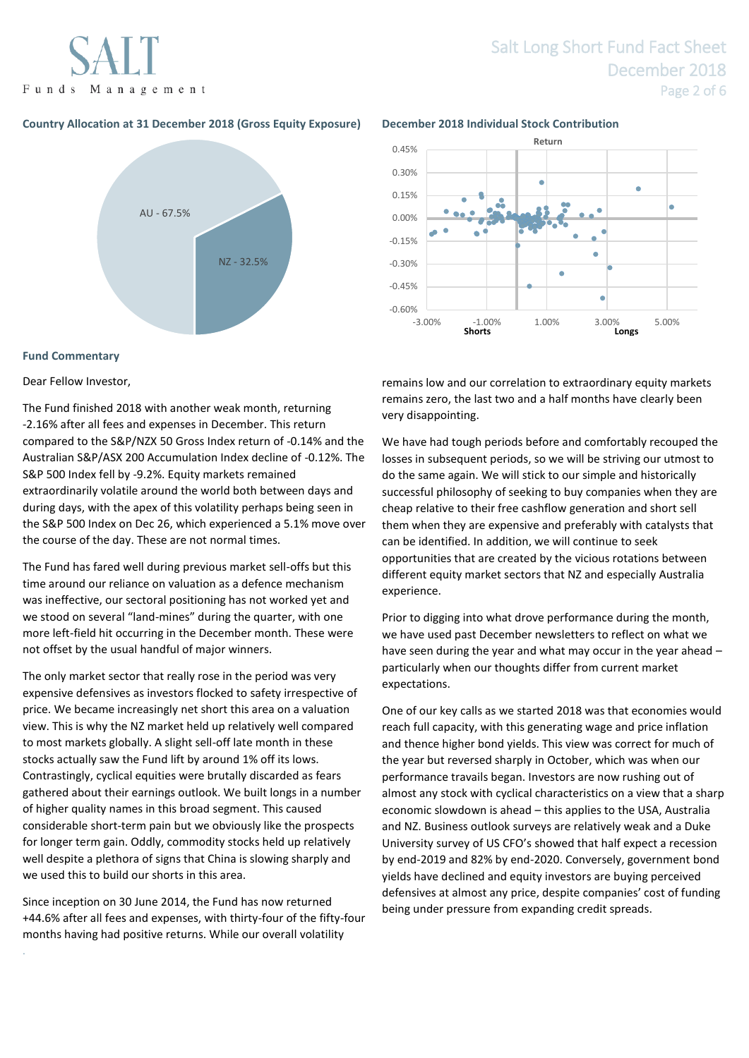Funds Management

# Salt Long Short Fund Fact Sheet December 2018 Page 2 of 6

## **Country Allocation at 31 December 2018 (Gross Equity Exposure) December 2018 Individual Stock Contribution**



## **Fund Commentary**

.

Dear Fellow Investor,

The Fund finished 2018 with another weak month, returning -2.16% after all fees and expenses in December. This return compared to the S&P/NZX 50 Gross Index return of -0.14% and the Australian S&P/ASX 200 Accumulation Index decline of -0.12%. The S&P 500 Index fell by -9.2%. Equity markets remained extraordinarily volatile around the world both between days and during days, with the apex of this volatility perhaps being seen in the S&P 500 Index on Dec 26, which experienced a 5.1% move over the course of the day. These are not normal times.

The Fund has fared well during previous market sell-offs but this time around our reliance on valuation as a defence mechanism was ineffective, our sectoral positioning has not worked yet and we stood on several "land-mines" during the quarter, with one more left-field hit occurring in the December month. These were not offset by the usual handful of major winners.

The only market sector that really rose in the period was very expensive defensives as investors flocked to safety irrespective of price. We became increasingly net short this area on a valuation view. This is why the NZ market held up relatively well compared to most markets globally. A slight sell-off late month in these stocks actually saw the Fund lift by around 1% off its lows. Contrastingly, cyclical equities were brutally discarded as fears gathered about their earnings outlook. We built longs in a number of higher quality names in this broad segment. This caused considerable short-term pain but we obviously like the prospects for longer term gain. Oddly, commodity stocks held up relatively well despite a plethora of signs that China is slowing sharply and we used this to build our shorts in this area.

Since inception on 30 June 2014, the Fund has now returned +44.6% after all fees and expenses, with thirty-four of the fifty-four months having had positive returns. While our overall volatility



remains low and our correlation to extraordinary equity markets remains zero, the last two and a half months have clearly been very disappointing.

We have had tough periods before and comfortably recouped the losses in subsequent periods, so we will be striving our utmost to do the same again. We will stick to our simple and historically successful philosophy of seeking to buy companies when they are cheap relative to their free cashflow generation and short sell them when they are expensive and preferably with catalysts that can be identified. In addition, we will continue to seek opportunities that are created by the vicious rotations between different equity market sectors that NZ and especially Australia experience.

Prior to digging into what drove performance during the month, we have used past December newsletters to reflect on what we have seen during the year and what may occur in the year ahead – particularly when our thoughts differ from current market expectations.

One of our key calls as we started 2018 was that economies would reach full capacity, with this generating wage and price inflation and thence higher bond yields. This view was correct for much of the year but reversed sharply in October, which was when our performance travails began. Investors are now rushing out of almost any stock with cyclical characteristics on a view that a sharp economic slowdown is ahead – this applies to the USA, Australia and NZ. Business outlook surveys are relatively weak and a Duke University survey of US CFO's showed that half expect a recession by end-2019 and 82% by end-2020. Conversely, government bond yields have declined and equity investors are buying perceived defensives at almost any price, despite companies' cost of funding being under pressure from expanding credit spreads.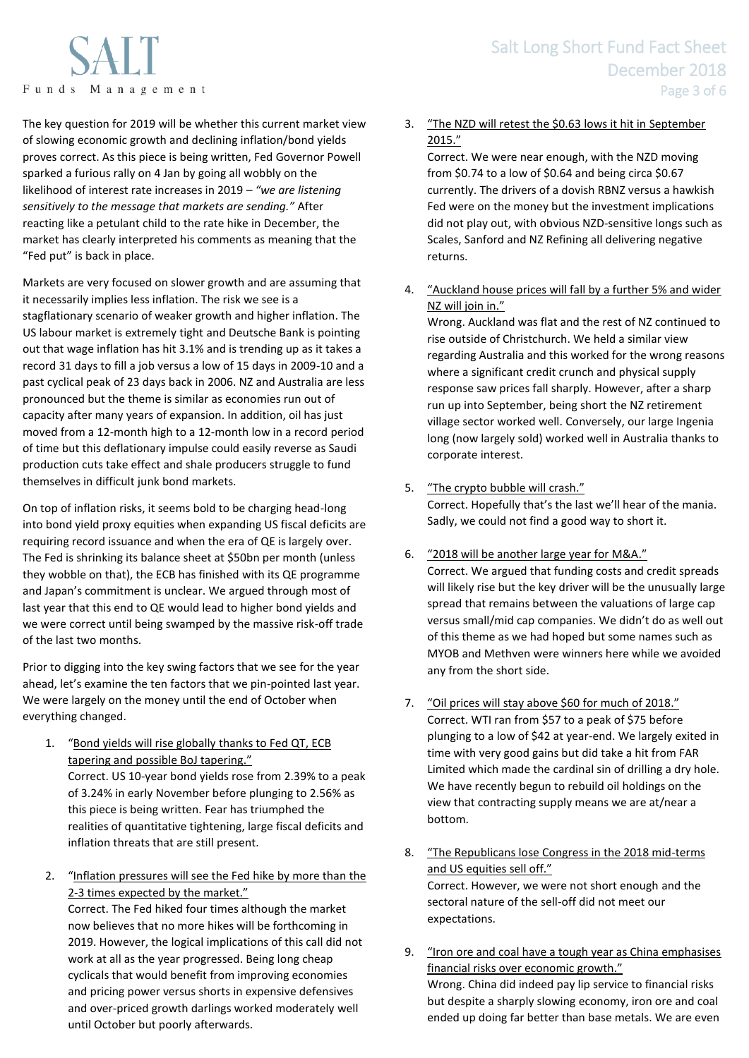Funds Management

The key question for 2019 will be whether this current market view of slowing economic growth and declining inflation/bond yields proves correct. As this piece is being written, Fed Governor Powell sparked a furious rally on 4 Jan by going all wobbly on the likelihood of interest rate increases in 2019 – *"we are listening sensitively to the message that markets are sending."* After reacting like a petulant child to the rate hike in December, the market has clearly interpreted his comments as meaning that the "Fed put" is back in place.

Markets are very focused on slower growth and are assuming that it necessarily implies less inflation. The risk we see is a stagflationary scenario of weaker growth and higher inflation. The US labour market is extremely tight and Deutsche Bank is pointing out that wage inflation has hit 3.1% and is trending up as it takes a record 31 days to fill a job versus a low of 15 days in 2009-10 and a past cyclical peak of 23 days back in 2006. NZ and Australia are less pronounced but the theme is similar as economies run out of capacity after many years of expansion. In addition, oil has just moved from a 12-month high to a 12-month low in a record period of time but this deflationary impulse could easily reverse as Saudi production cuts take effect and shale producers struggle to fund themselves in difficult junk bond markets.

On top of inflation risks, it seems bold to be charging head-long into bond yield proxy equities when expanding US fiscal deficits are requiring record issuance and when the era of QE is largely over. The Fed is shrinking its balance sheet at \$50bn per month (unless they wobble on that), the ECB has finished with its QE programme and Japan's commitment is unclear. We argued through most of last year that this end to QE would lead to higher bond yields and we were correct until being swamped by the massive risk-off trade of the last two months.

Prior to digging into the key swing factors that we see for the year ahead, let's examine the ten factors that we pin-pointed last year. We were largely on the money until the end of October when everything changed.

- 1. "Bond yields will rise globally thanks to Fed QT, ECB tapering and possible BoJ tapering." Correct. US 10-year bond yields rose from 2.39% to a peak of 3.24% in early November before plunging to 2.56% as this piece is being written. Fear has triumphed the realities of quantitative tightening, large fiscal deficits and inflation threats that are still present.
- 2. "Inflation pressures will see the Fed hike by more than the 2-3 times expected by the market."

Correct. The Fed hiked four times although the market now believes that no more hikes will be forthcoming in 2019. However, the logical implications of this call did not work at all as the year progressed. Being long cheap cyclicals that would benefit from improving economies and pricing power versus shorts in expensive defensives and over-priced growth darlings worked moderately well until October but poorly afterwards.

# 3. "The NZD will retest the \$0.63 lows it hit in September 2015."

Correct. We were near enough, with the NZD moving from \$0.74 to a low of \$0.64 and being circa \$0.67 currently. The drivers of a dovish RBNZ versus a hawkish Fed were on the money but the investment implications did not play out, with obvious NZD-sensitive longs such as Scales, Sanford and NZ Refining all delivering negative returns.

4. "Auckland house prices will fall by a further 5% and wider NZ will join in."

Wrong. Auckland was flat and the rest of NZ continued to rise outside of Christchurch. We held a similar view regarding Australia and this worked for the wrong reasons where a significant credit crunch and physical supply response saw prices fall sharply. However, after a sharp run up into September, being short the NZ retirement village sector worked well. Conversely, our large Ingenia long (now largely sold) worked well in Australia thanks to corporate interest.

5. "The crypto bubble will crash."

Correct. Hopefully that's the last we'll hear of the mania. Sadly, we could not find a good way to short it.

- 6. "2018 will be another large year for M&A." Correct. We argued that funding costs and credit spreads will likely rise but the key driver will be the unusually large spread that remains between the valuations of large cap versus small/mid cap companies. We didn't do as well out of this theme as we had hoped but some names such as MYOB and Methven were winners here while we avoided any from the short side.
- 7. "Oil prices will stay above \$60 for much of 2018." Correct. WTI ran from \$57 to a peak of \$75 before plunging to a low of \$42 at year-end. We largely exited in time with very good gains but did take a hit from FAR Limited which made the cardinal sin of drilling a dry hole. We have recently begun to rebuild oil holdings on the view that contracting supply means we are at/near a bottom.
- 8. "The Republicans lose Congress in the 2018 mid-terms and US equities sell off." Correct. However, we were not short enough and the sectoral nature of the sell-off did not meet our expectations.
- 9. "Iron ore and coal have a tough year as China emphasises financial risks over economic growth." Wrong. China did indeed pay lip service to financial risks but despite a sharply slowing economy, iron ore and coal ended up doing far better than base metals. We are even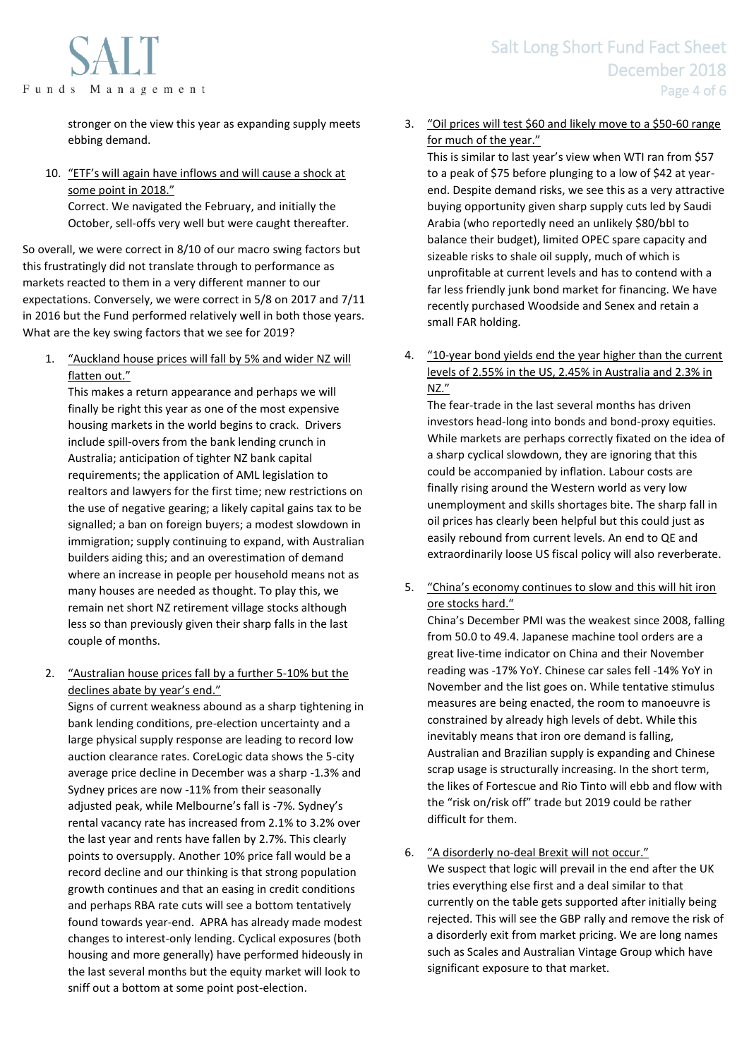

stronger on the view this year as expanding supply meets ebbing demand.

## 10. "ETF's will again have inflows and will cause a shock at some point in 2018." Correct. We navigated the February, and initially the October, sell-offs very well but were caught thereafter.

So overall, we were correct in 8/10 of our macro swing factors but this frustratingly did not translate through to performance as markets reacted to them in a very different manner to our expectations. Conversely, we were correct in 5/8 on 2017 and 7/11 in 2016 but the Fund performed relatively well in both those years. What are the key swing factors that we see for 2019?

1. "Auckland house prices will fall by 5% and wider NZ will flatten out."

This makes a return appearance and perhaps we will finally be right this year as one of the most expensive housing markets in the world begins to crack. Drivers include spill-overs from the bank lending crunch in Australia; anticipation of tighter NZ bank capital requirements; the application of AML legislation to realtors and lawyers for the first time; new restrictions on the use of negative gearing; a likely capital gains tax to be signalled; a ban on foreign buyers; a modest slowdown in immigration; supply continuing to expand, with Australian builders aiding this; and an overestimation of demand where an increase in people per household means not as many houses are needed as thought. To play this, we remain net short NZ retirement village stocks although less so than previously given their sharp falls in the last couple of months.

## 2. "Australian house prices fall by a further 5-10% but the declines abate by year's end."

Signs of current weakness abound as a sharp tightening in bank lending conditions, pre-election uncertainty and a large physical supply response are leading to record low auction clearance rates. CoreLogic data shows the 5-city average price decline in December was a sharp -1.3% and Sydney prices are now -11% from their seasonally adjusted peak, while Melbourne's fall is -7%. Sydney's rental vacancy rate has increased from 2.1% to 3.2% over the last year and rents have fallen by 2.7%. This clearly points to oversupply. Another 10% price fall would be a record decline and our thinking is that strong population growth continues and that an easing in credit conditions and perhaps RBA rate cuts will see a bottom tentatively found towards year-end. APRA has already made modest changes to interest-only lending. Cyclical exposures (both housing and more generally) have performed hideously in the last several months but the equity market will look to sniff out a bottom at some point post-election.

# 3. "Oil prices will test \$60 and likely move to a \$50-60 range for much of the year."

This is similar to last year's view when WTI ran from \$57 to a peak of \$75 before plunging to a low of \$42 at yearend. Despite demand risks, we see this as a very attractive buying opportunity given sharp supply cuts led by Saudi Arabia (who reportedly need an unlikely \$80/bbl to balance their budget), limited OPEC spare capacity and sizeable risks to shale oil supply, much of which is unprofitable at current levels and has to contend with a far less friendly junk bond market for financing. We have recently purchased Woodside and Senex and retain a small FAR holding.

4. "10-year bond yields end the year higher than the current levels of 2.55% in the US, 2.45% in Australia and 2.3% in NZ."

The fear-trade in the last several months has driven investors head-long into bonds and bond-proxy equities. While markets are perhaps correctly fixated on the idea of a sharp cyclical slowdown, they are ignoring that this could be accompanied by inflation. Labour costs are finally rising around the Western world as very low unemployment and skills shortages bite. The sharp fall in oil prices has clearly been helpful but this could just as easily rebound from current levels. An end to QE and extraordinarily loose US fiscal policy will also reverberate.

5. "China's economy continues to slow and this will hit iron ore stocks hard."

China's December PMI was the weakest since 2008, falling from 50.0 to 49.4. Japanese machine tool orders are a great live-time indicator on China and their November reading was -17% YoY. Chinese car sales fell -14% YoY in November and the list goes on. While tentative stimulus measures are being enacted, the room to manoeuvre is constrained by already high levels of debt. While this inevitably means that iron ore demand is falling, Australian and Brazilian supply is expanding and Chinese scrap usage is structurally increasing. In the short term, the likes of Fortescue and Rio Tinto will ebb and flow with the "risk on/risk off" trade but 2019 could be rather difficult for them.

6. "A disorderly no-deal Brexit will not occur." We suspect that logic will prevail in the end after the UK tries everything else first and a deal similar to that currently on the table gets supported after initially being rejected. This will see the GBP rally and remove the risk of a disorderly exit from market pricing. We are long names such as Scales and Australian Vintage Group which have significant exposure to that market.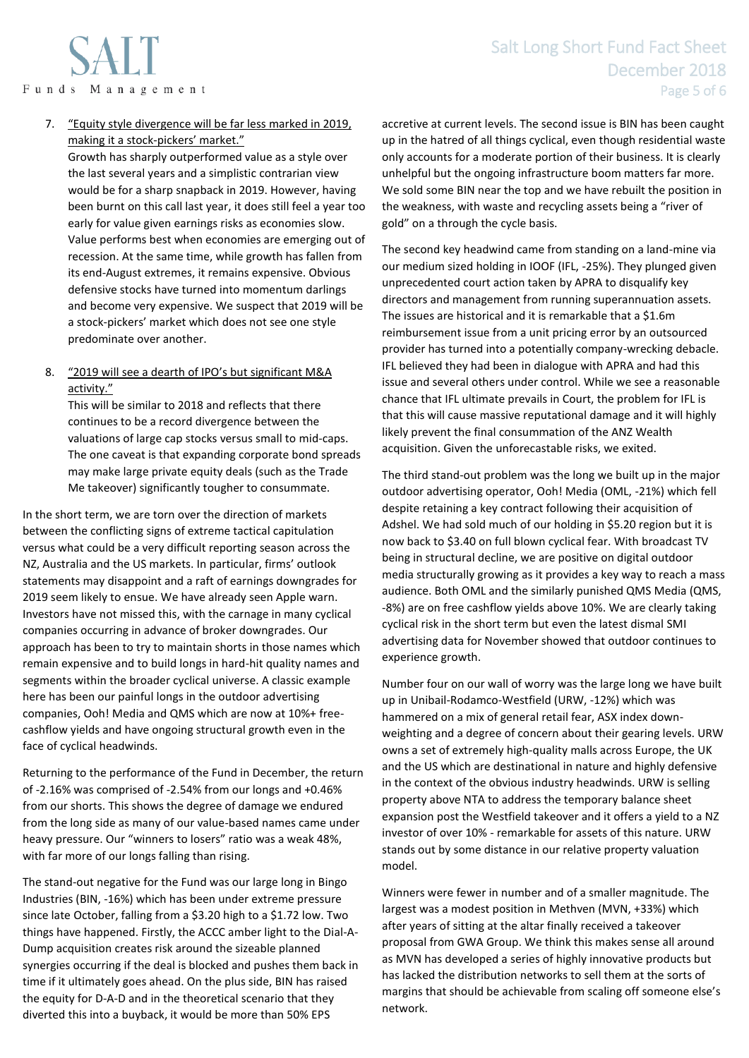7. "Equity style divergence will be far less marked in 2019, making it a stock-pickers' market."

Growth has sharply outperformed value as a style over the last several years and a simplistic contrarian view would be for a sharp snapback in 2019. However, having been burnt on this call last year, it does still feel a year too early for value given earnings risks as economies slow. Value performs best when economies are emerging out of recession. At the same time, while growth has fallen from its end-August extremes, it remains expensive. Obvious defensive stocks have turned into momentum darlings and become very expensive. We suspect that 2019 will be a stock-pickers' market which does not see one style predominate over another.

8. "2019 will see a dearth of IPO's but significant M&A activity."

This will be similar to 2018 and reflects that there continues to be a record divergence between the valuations of large cap stocks versus small to mid-caps. The one caveat is that expanding corporate bond spreads may make large private equity deals (such as the Trade Me takeover) significantly tougher to consummate.

In the short term, we are torn over the direction of markets between the conflicting signs of extreme tactical capitulation versus what could be a very difficult reporting season across the NZ, Australia and the US markets. In particular, firms' outlook statements may disappoint and a raft of earnings downgrades for 2019 seem likely to ensue. We have already seen Apple warn. Investors have not missed this, with the carnage in many cyclical companies occurring in advance of broker downgrades. Our approach has been to try to maintain shorts in those names which remain expensive and to build longs in hard-hit quality names and segments within the broader cyclical universe. A classic example here has been our painful longs in the outdoor advertising companies, Ooh! Media and QMS which are now at 10%+ freecashflow yields and have ongoing structural growth even in the face of cyclical headwinds.

Returning to the performance of the Fund in December, the return of -2.16% was comprised of -2.54% from our longs and +0.46% from our shorts. This shows the degree of damage we endured from the long side as many of our value-based names came under heavy pressure. Our "winners to losers" ratio was a weak 48%, with far more of our longs falling than rising.

The stand-out negative for the Fund was our large long in Bingo Industries (BIN, -16%) which has been under extreme pressure since late October, falling from a \$3.20 high to a \$1.72 low. Two things have happened. Firstly, the ACCC amber light to the Dial-A-Dump acquisition creates risk around the sizeable planned synergies occurring if the deal is blocked and pushes them back in time if it ultimately goes ahead. On the plus side, BIN has raised the equity for D-A-D and in the theoretical scenario that they diverted this into a buyback, it would be more than 50% EPS

accretive at current levels. The second issue is BIN has been caught up in the hatred of all things cyclical, even though residential waste only accounts for a moderate portion of their business. It is clearly unhelpful but the ongoing infrastructure boom matters far more. We sold some BIN near the top and we have rebuilt the position in the weakness, with waste and recycling assets being a "river of gold" on a through the cycle basis.

The second key headwind came from standing on a land-mine via our medium sized holding in IOOF (IFL, -25%). They plunged given unprecedented court action taken by APRA to disqualify key directors and management from running superannuation assets. The issues are historical and it is remarkable that a \$1.6m reimbursement issue from a unit pricing error by an outsourced provider has turned into a potentially company-wrecking debacle. IFL believed they had been in dialogue with APRA and had this issue and several others under control. While we see a reasonable chance that IFL ultimate prevails in Court, the problem for IFL is that this will cause massive reputational damage and it will highly likely prevent the final consummation of the ANZ Wealth acquisition. Given the unforecastable risks, we exited.

The third stand-out problem was the long we built up in the major outdoor advertising operator, Ooh! Media (OML, -21%) which fell despite retaining a key contract following their acquisition of Adshel. We had sold much of our holding in \$5.20 region but it is now back to \$3.40 on full blown cyclical fear. With broadcast TV being in structural decline, we are positive on digital outdoor media structurally growing as it provides a key way to reach a mass audience. Both OML and the similarly punished QMS Media (QMS, -8%) are on free cashflow yields above 10%. We are clearly taking cyclical risk in the short term but even the latest dismal SMI advertising data for November showed that outdoor continues to experience growth.

Number four on our wall of worry was the large long we have built up in Unibail-Rodamco-Westfield (URW, -12%) which was hammered on a mix of general retail fear, ASX index downweighting and a degree of concern about their gearing levels. URW owns a set of extremely high-quality malls across Europe, the UK and the US which are destinational in nature and highly defensive in the context of the obvious industry headwinds. URW is selling property above NTA to address the temporary balance sheet expansion post the Westfield takeover and it offers a yield to a NZ investor of over 10% - remarkable for assets of this nature. URW stands out by some distance in our relative property valuation model.

Winners were fewer in number and of a smaller magnitude. The largest was a modest position in Methven (MVN, +33%) which after years of sitting at the altar finally received a takeover proposal from GWA Group. We think this makes sense all around as MVN has developed a series of highly innovative products but has lacked the distribution networks to sell them at the sorts of margins that should be achievable from scaling off someone else's network.